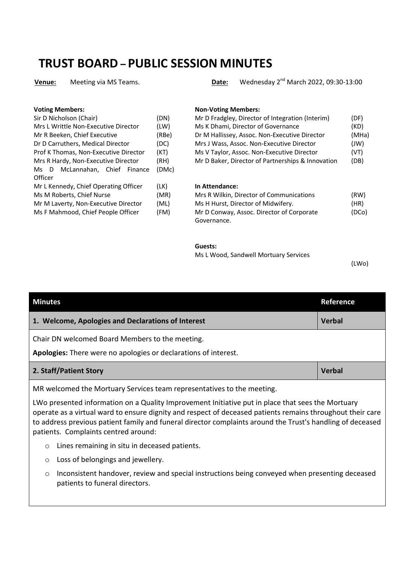# **TRUST BOARD – PUBLIC SESSION MINUTES**

| Sir D Nicholson (Chair)               | (DN)  |
|---------------------------------------|-------|
| Mrs L Writtle Non-Executive Director  | (LW)  |
| Mr R Beeken, Chief Executive          | (RBe) |
| Dr D Carruthers, Medical Director     | (DC)  |
| Prof K Thomas, Non-Executive Director | (KT)  |
| Mrs R Hardy, Non-Executive Director   | (RH)  |
| McLannahan, Chief Finance<br>Ms D     | (DMc) |
| Officer                               |       |
| Mr L Kennedy, Chief Operating Officer | (LK)  |
| Ms M Roberts, Chief Nurse             | (MR)  |
| Mr M Laverty, Non-Executive Director  | (ML)  |
| Ms F Mahmood, Chief People Officer    | (FM)  |
|                                       |       |

**Venue:** Meeting via MS Teams. **Date:** Wednesday 2nd March 2022, 09:30-13:00

#### **Voting Members: Non-Voting Members:**

| Sir D Nicholson (Chair)               | (DN)  | Mr D Fradgley, Director of Integration (Interim)  | (DF)  |
|---------------------------------------|-------|---------------------------------------------------|-------|
| Mrs L Writtle Non-Executive Director  | (LW)  | Ms K Dhami, Director of Governance                | (KD)  |
| Mr R Beeken, Chief Executive          | (RBe) | Dr M Hallissey, Assoc. Non-Executive Director     | (MHa) |
| Dr D Carruthers, Medical Director     | (DC)  | Mrs J Wass, Assoc. Non-Executive Director         | (JW)  |
| Prof K Thomas, Non-Executive Director | (KT)  | Ms V Taylor, Assoc. Non-Executive Director        | (VT)  |
| Mrs R Hardy, Non-Executive Director   | (RH)  | Mr D Baker, Director of Partnerships & Innovation | (DB)  |
|                                       |       |                                                   |       |

#### **In Attendance:**

| Mrs R Wilkin, Director of Communications  | (RW)  |
|-------------------------------------------|-------|
| Ms H Hurst, Director of Midwifery.        | (HR)  |
| Mr D Conway, Assoc. Director of Corporate | (DCo) |
| Governance.                               |       |

# **Guests:**

Ms L Wood, Sandwell Mortuary Services

(LWo)

| <b>Minutes</b>                                                         | Reference     |
|------------------------------------------------------------------------|---------------|
| 1. Welcome, Apologies and Declarations of Interest                     | <b>Verbal</b> |
| Chair DN welcomed Board Members to the meeting.                        |               |
| Apologies: There were no apologies or declarations of interest.        |               |
| 2. Staff/Patient Story                                                 | <b>Verbal</b> |
| MR welcomed the Mortuary Services team representatives to the meeting. |               |

LWo presented information on a Quality Improvement Initiative put in place that sees the Mortuary operate as a virtual ward to ensure dignity and respect of deceased patients remains throughout their care to address previous patient family and funeral director complaints around the Trust's handling of deceased patients. Complaints centred around:

- o Lines remaining in situ in deceased patients.
- o Loss of belongings and jewellery.
- o Inconsistent handover, review and special instructions being conveyed when presenting deceased patients to funeral directors.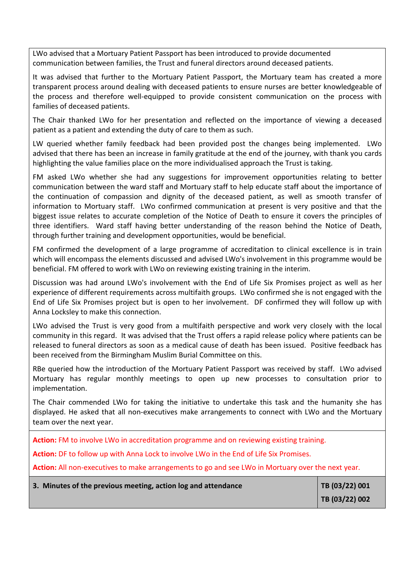LWo advised that a Mortuary Patient Passport has been introduced to provide documented communication between families, the Trust and funeral directors around deceased patients.

It was advised that further to the Mortuary Patient Passport, the Mortuary team has created a more transparent process around dealing with deceased patients to ensure nurses are better knowledgeable of the process and therefore well-equipped to provide consistent communication on the process with families of deceased patients.

The Chair thanked LWo for her presentation and reflected on the importance of viewing a deceased patient as a patient and extending the duty of care to them as such.

LW queried whether family feedback had been provided post the changes being implemented. LWo advised that there has been an increase in family gratitude at the end of the journey, with thank you cards highlighting the value families place on the more individualised approach the Trust is taking.

FM asked LWo whether she had any suggestions for improvement opportunities relating to better communication between the ward staff and Mortuary staff to help educate staff about the importance of the continuation of compassion and dignity of the deceased patient, as well as smooth transfer of information to Mortuary staff. LWo confirmed communication at present is very positive and that the biggest issue relates to accurate completion of the Notice of Death to ensure it covers the principles of three identifiers. Ward staff having better understanding of the reason behind the Notice of Death, through further training and development opportunities, would be beneficial.

FM confirmed the development of a large programme of accreditation to clinical excellence is in train which will encompass the elements discussed and advised LWo's involvement in this programme would be beneficial. FM offered to work with LWo on reviewing existing training in the interim.

Discussion was had around LWo's involvement with the End of Life Six Promises project as well as her experience of different requirements across multifaith groups. LWo confirmed she is not engaged with the End of Life Six Promises project but is open to her involvement. DF confirmed they will follow up with Anna Locksley to make this connection.

LWo advised the Trust is very good from a multifaith perspective and work very closely with the local community in this regard. It was advised that the Trust offers a rapid release policy where patients can be released to funeral directors as soon as a medical cause of death has been issued. Positive feedback has been received from the Birmingham Muslim Burial Committee on this.

RBe queried how the introduction of the Mortuary Patient Passport was received by staff. LWo advised Mortuary has regular monthly meetings to open up new processes to consultation prior to implementation.

The Chair commended LWo for taking the initiative to undertake this task and the humanity she has displayed. He asked that all non-executives make arrangements to connect with LWo and the Mortuary team over the next year.

**Action:** FM to involve LWo in accreditation programme and on reviewing existing training.

**Action:** DF to follow up with Anna Lock to involve LWo in the End of Life Six Promises.

**Action:** All non-executives to make arrangements to go and see LWo in Mortuary over the next year.

| 3. Minutes of the previous meeting, action log and attendance | $\sqrt{18(03/22)001}$ |
|---------------------------------------------------------------|-----------------------|
|                                                               | TB(03/22)002          |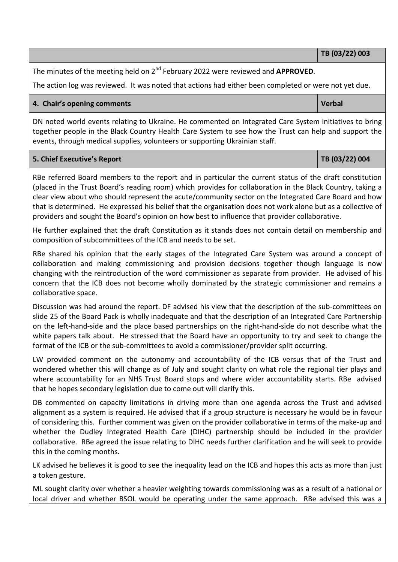**TB (03/22) 003** 

The minutes of the meeting held on 2nd February 2022 were reviewed and **APPROVED**.

The action log was reviewed. It was noted that actions had either been completed or were not yet due.

# **4. Chair's opening comments Verbal** *Queen Comments* **Verbal** *Verbal* **<b>Verbal**

DN noted world events relating to Ukraine. He commented on Integrated Care System initiatives to bring together people in the Black Country Health Care System to see how the Trust can help and support the events, through medical supplies, volunteers or supporting Ukrainian staff.

#### **5. Chief Executive's Report TB (03/22) 004**

RBe referred Board members to the report and in particular the current status of the draft constitution (placed in the Trust Board's reading room) which provides for collaboration in the Black Country, taking a clear view about who should represent the acute/community sector on the Integrated Care Board and how that is determined. He expressed his belief that the organisation does not work alone but as a collective of providers and sought the Board's opinion on how best to influence that provider collaborative.

He further explained that the draft Constitution as it stands does not contain detail on membership and composition of subcommittees of the ICB and needs to be set.

RBe shared his opinion that the early stages of the Integrated Care System was around a concept of collaboration and making commissioning and provision decisions together though language is now changing with the reintroduction of the word commissioner as separate from provider. He advised of his concern that the ICB does not become wholly dominated by the strategic commissioner and remains a collaborative space.

Discussion was had around the report. DF advised his view that the description of the sub-committees on slide 25 of the Board Pack is wholly inadequate and that the description of an Integrated Care Partnership on the left-hand-side and the place based partnerships on the right-hand-side do not describe what the white papers talk about. He stressed that the Board have an opportunity to try and seek to change the format of the ICB or the sub-committees to avoid a commissioner/provider split occurring.

LW provided comment on the autonomy and accountability of the ICB versus that of the Trust and wondered whether this will change as of July and sought clarity on what role the regional tier plays and where accountability for an NHS Trust Board stops and where wider accountability starts. RBe advised that he hopes secondary legislation due to come out will clarify this.

DB commented on capacity limitations in driving more than one agenda across the Trust and advised alignment as a system is required. He advised that if a group structure is necessary he would be in favour of considering this. Further comment was given on the provider collaborative in terms of the make-up and whether the Dudley Integrated Health Care (DIHC) partnership should be included in the provider collaborative. RBe agreed the issue relating to DIHC needs further clarification and he will seek to provide this in the coming months.

LK advised he believes it is good to see the inequality lead on the ICB and hopes this acts as more than just a token gesture.

ML sought clarity over whether a heavier weighting towards commissioning was as a result of a national or local driver and whether BSOL would be operating under the same approach. RBe advised this was a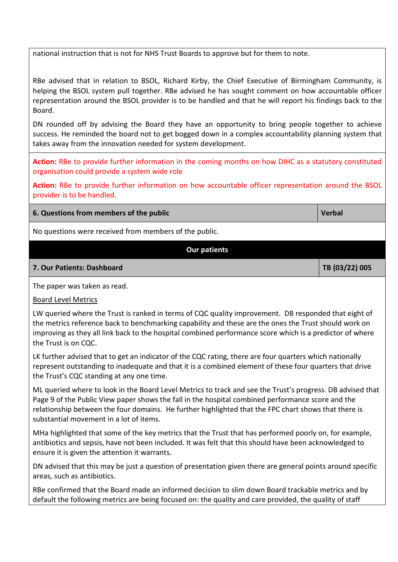national instruction that is not for NHS Trust Boards to approve but for them to note.

RBe advised that in relation to BSOL, Richard Kirby, the Chief Executive of Birmingham Community, is helping the BSOL system pull together. RBe advised he has sought comment on how accountable officer representation around the BSOL provider is to be handled and that he will report his findings back to the Board.

DN rounded off by advising the Board they have an opportunity to bring people together to achieve success. He reminded the board not to get bogged down in a complex accountability planning system that takes away from the innovation needed for system development.

**Action:** RBe to provide further information in the coming months on how DIHC as a statutory constituted organisation could provide a system wide role

**Action:** RBe to provide further information on how accountable officer representation around the BSOL provider is to be handled.

# **6. Questions from members of the public Verbal Access 10 Access 10 Access 10 Access 10 Access 10 Access 10 Access 10 Access 10 Access 10 Access 10 Access 10 Access 10 Access 10 Access 10 Access 10 Access 10 Access 10 Acce**

No questions were received from members of the public.

# **Our patients**

#### **7. Our Patients: Dashboard TB (03/22) 005**

The paper was taken as read.

#### Board Level Metrics

LW queried where the Trust is ranked in terms of CQC quality improvement. DB responded that eight of the metrics reference back to benchmarking capability and these are the ones the Trust should work on improving as they all link back to the hospital combined performance score which is a predictor of where the Trust is on CQC.

LK further advised that to get an indicator of the CQC rating, there are four quarters which nationally represent outstanding to inadequate and that it is a combined element of these four quarters that drive the Trust's CQC standing at any one time.

ML queried where to look in the Board Level Metrics to track and see the Trust's progress. DB advised that Page 9 of the Public View paper shows the fall in the hospital combined performance score and the relationship between the four domains. He further highlighted that the FPC chart shows that there is substantial movement in a lot of items.

MHa highlighted that some of the key metrics that the Trust that has performed poorly on, for example, antibiotics and sepsis, have not been included. It was felt that this should have been acknowledged to ensure it is given the attention it warrants.

DN advised that this may be just a question of presentation given there are general points around specific areas, such as antibiotics.

RBe confirmed that the Board made an informed decision to slim down Board trackable metrics and by default the following metrics are being focused on: the quality and care provided, the quality of staff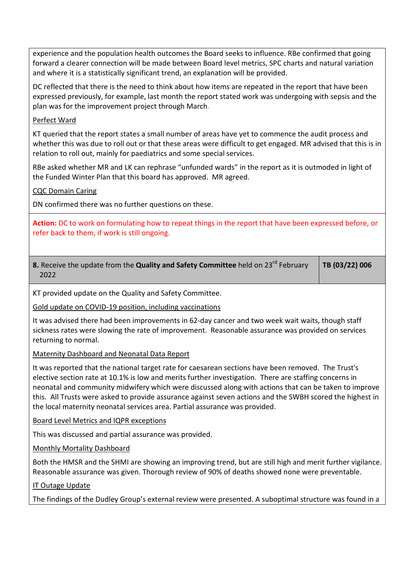experience and the population health outcomes the Board seeks to influence. RBe confirmed that going forward a clearer connection will be made between Board level metrics, SPC charts and natural variation and where it is a statistically significant trend, an explanation will be provided.

DC reflected that there is the need to think about how items are repeated in the report that have been expressed previously, for example, last month the report stated work was undergoing with sepsis and the plan was for the improvement project through March.

# Perfect Ward

KT queried that the report states a small number of areas have yet to commence the audit process and whether this was due to roll out or that these areas were difficult to get engaged. MR advised that this is in relation to roll out, mainly for paediatrics and some special services.

RBe asked whether MR and LK can rephrase "unfunded wards" in the report as it is outmoded in light of the Funded Winter Plan that this board has approved. MR agreed.

# CQC Domain Caring

DN confirmed there was no further questions on these.

**Action:** DC to work on formulating how to repeat things in the report that have been expressed before, or refer back to them, if work is still ongoing.

**8.** Receive the update from the **Quality and Safety Committee** held on 23<sup>rd</sup> February 2022 **TB (03/22) 006** 

KT provided update on the Quality and Safety Committee.

Gold update on COVID-19 position, including vaccinations

It was advised there had been improvements in 62-day cancer and two week wait waits, though staff sickness rates were slowing the rate of improvement. Reasonable assurance was provided on services returning to normal.

Maternity Dashboard and Neonatal Data Report

It was reported that the national target rate for caesarean sections have been removed. The Trust's elective section rate at 10.1% is low and merits further investigation. There are staffing concerns in neonatal and community midwifery which were discussed along with actions that can be taken to improve this. All Trusts were asked to provide assurance against seven actions and the SWBH scored the highest in the local maternity neonatal services area. Partial assurance was provided.

Board Level Metrics and IQPR exceptions

This was discussed and partial assurance was provided.

Monthly Mortality Dashboard

Both the HMSR and the SHMI are showing an improving trend, but are still high and merit further vigilance. Reasonable assurance was given. Thorough review of 90% of deaths showed none were preventable.

IT Outage Update

The findings of the Dudley Group's external review were presented. A suboptimal structure was found in a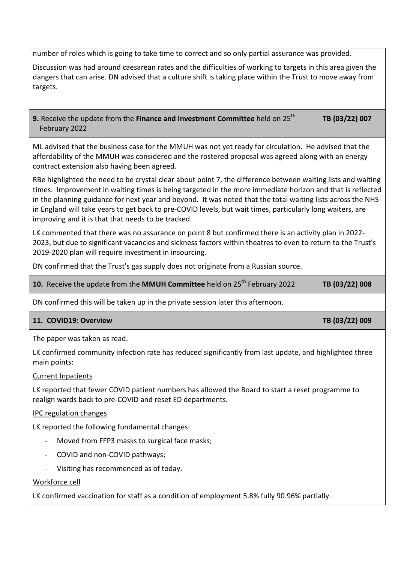number of roles which is going to take time to correct and so only partial assurance was provided.

| Discussion was had around caesarean rates and the difficulties of working to targets in this area given the |
|-------------------------------------------------------------------------------------------------------------|
| dangers that can arise. DN advised that a culture shift is taking place within the Trust to move away from  |
| targets.                                                                                                    |

**9.** Receive the update from the Finance and Investment Committee held on 25<sup>th</sup> February 2022

**TB (03/22) 007** 

ML advised that the business case for the MMUH was not yet ready for circulation. He advised that the affordability of the MMUH was considered and the rostered proposal was agreed along with an energy contract extension also having been agreed.

RBe highlighted the need to be crystal clear about point 7, the difference between waiting lists and waiting times. Improvement in waiting times is being targeted in the more immediate horizon and that is reflected in the planning guidance for next year and beyond. It was noted that the total waiting lists across the NHS in England will take years to get back to pre-COVID levels, but wait times, particularly long waiters, are improving and it is that that needs to be tracked.

LK commented that there was no assurance on point 8 but confirmed there is an activity plan in 2022- 2023, but due to significant vacancies and sickness factors within theatres to even to return to the Trust's 2019-2020 plan will require investment in insourcing.

DN confirmed that the Trust's gas supply does not originate from a Russian source.

| 10. Receive the update from the MMUH Committee held on $25th$ February 2022 | $ $ TB (03/22) 008 |
|-----------------------------------------------------------------------------|--------------------|
|-----------------------------------------------------------------------------|--------------------|

DN confirmed this will be taken up in the private session later this afternoon.

#### 11. COVID19: Overview TB (03/22) 009

The paper was taken as read.

LK confirmed community infection rate has reduced significantly from last update, and highlighted three main points:

#### Current Inpatients

LK reported that fewer COVID patient numbers has allowed the Board to start a reset programme to realign wards back to pre-COVID and reset ED departments.

#### IPC regulation changes

LK reported the following fundamental changes:

- Moved from FFP3 masks to surgical face masks;
- COVID and non-COVID pathways;
- Visiting has recommenced as of today.

# Workforce cell

LK confirmed vaccination for staff as a condition of employment 5.8% fully 90.96% partially.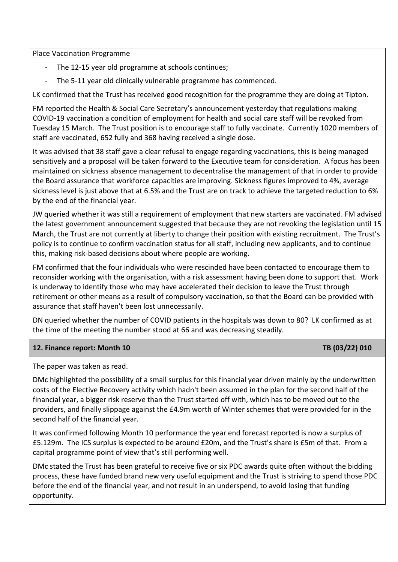### Place Vaccination Programme

- The 12-15 year old programme at schools continues;
- The 5-11 year old clinically vulnerable programme has commenced.

LK confirmed that the Trust has received good recognition for the programme they are doing at Tipton.

FM reported the Health & Social Care Secretary's announcement yesterday that regulations making COVID-19 vaccination a condition of employment for health and social care staff will be revoked from Tuesday 15 March. The Trust position is to encourage staff to fully vaccinate. Currently 1020 members of staff are vaccinated, 652 fully and 368 having received a single dose.

It was advised that 38 staff gave a clear refusal to engage regarding vaccinations, this is being managed sensitively and a proposal will be taken forward to the Executive team for consideration. A focus has been maintained on sickness absence management to decentralise the management of that in order to provide the Board assurance that workforce capacities are improving. Sickness figures improved to 4%, average sickness level is just above that at 6.5% and the Trust are on track to achieve the targeted reduction to 6% by the end of the financial year.

JW queried whether it was still a requirement of employment that new starters are vaccinated. FM advised the latest government announcement suggested that because they are not revoking the legislation until 15 March, the Trust are not currently at liberty to change their position with existing recruitment. The Trust's policy is to continue to confirm vaccination status for all staff, including new applicants, and to continue this, making risk-based decisions about where people are working.

FM confirmed that the four individuals who were rescinded have been contacted to encourage them to reconsider working with the organisation, with a risk assessment having been done to support that. Work is underway to identify those who may have accelerated their decision to leave the Trust through retirement or other means as a result of compulsory vaccination, so that the Board can be provided with assurance that staff haven't been lost unnecessarily.

DN queried whether the number of COVID patients in the hospitals was down to 80? LK confirmed as at the time of the meeting the number stood at 66 and was decreasing steadily.

# **12. Finance report: Month 10 <b>TB** (03/22) 010

The paper was taken as read.

DMc highlighted the possibility of a small surplus for this financial year driven mainly by the underwritten costs of the Elective Recovery activity which hadn't been assumed in the plan for the second half of the financial year, a bigger risk reserve than the Trust started off with, which has to be moved out to the providers, and finally slippage against the £4.9m worth of Winter schemes that were provided for in the second half of the financial year.

It was confirmed following Month 10 performance the year end forecast reported is now a surplus of £5.129m. The ICS surplus is expected to be around £20m, and the Trust's share is £5m of that. From a capital programme point of view that's still performing well.

DMc stated the Trust has been grateful to receive five or six PDC awards quite often without the bidding process, these have funded brand new very useful equipment and the Trust is striving to spend those PDC before the end of the financial year, and not result in an underspend, to avoid losing that funding opportunity.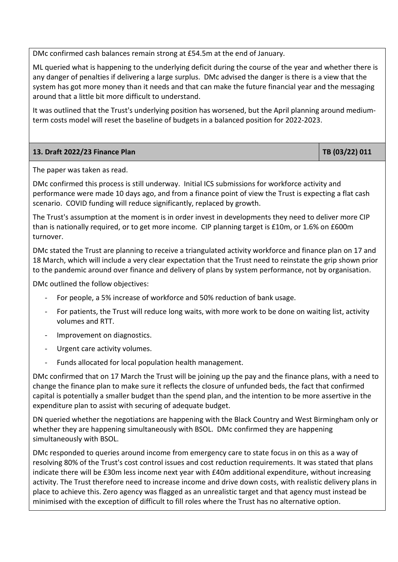DMc confirmed cash balances remain strong at £54.5m at the end of January.

ML queried what is happening to the underlying deficit during the course of the year and whether there is any danger of penalties if delivering a large surplus. DMc advised the danger is there is a view that the system has got more money than it needs and that can make the future financial year and the messaging around that a little bit more difficult to understand.

It was outlined that the Trust's underlying position has worsened, but the April planning around mediumterm costs model will reset the baseline of budgets in a balanced position for 2022-2023.

# 13. Draft 2022/23 Finance Plan TB (03/22) 011

The paper was taken as read.

DMc confirmed this process is still underway. Initial ICS submissions for workforce activity and performance were made 10 days ago, and from a finance point of view the Trust is expecting a flat cash scenario. COVID funding will reduce significantly, replaced by growth.

The Trust's assumption at the moment is in order invest in developments they need to deliver more CIP than is nationally required, or to get more income. CIP planning target is £10m, or 1.6% on £600m turnover.

DMc stated the Trust are planning to receive a triangulated activity workforce and finance plan on 17 and 18 March, which will include a very clear expectation that the Trust need to reinstate the grip shown prior to the pandemic around over finance and delivery of plans by system performance, not by organisation.

DMc outlined the follow objectives:

- For people, a 5% increase of workforce and 50% reduction of bank usage.
- For patients, the Trust will reduce long waits, with more work to be done on waiting list, activity volumes and RTT.
- Improvement on diagnostics.
- Urgent care activity volumes.
- Funds allocated for local population health management.

DMc confirmed that on 17 March the Trust will be joining up the pay and the finance plans, with a need to change the finance plan to make sure it reflects the closure of unfunded beds, the fact that confirmed capital is potentially a smaller budget than the spend plan, and the intention to be more assertive in the expenditure plan to assist with securing of adequate budget.

DN queried whether the negotiations are happening with the Black Country and West Birmingham only or whether they are happening simultaneously with BSOL. DMc confirmed they are happening simultaneously with BSOL.

DMc responded to queries around income from emergency care to state focus in on this as a way of resolving 80% of the Trust's cost control issues and cost reduction requirements. It was stated that plans indicate there will be £30m less income next year with £40m additional expenditure, without increasing activity. The Trust therefore need to increase income and drive down costs, with realistic delivery plans in place to achieve this. Zero agency was flagged as an unrealistic target and that agency must instead be minimised with the exception of difficult to fill roles where the Trust has no alternative option.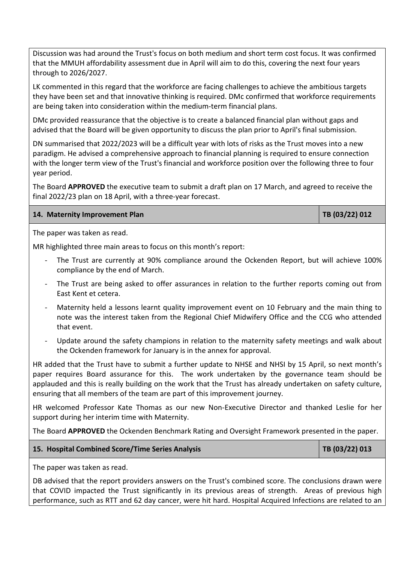Discussion was had around the Trust's focus on both medium and short term cost focus. It was confirmed that the MMUH affordability assessment due in April will aim to do this, covering the next four years through to 2026/2027.

LK commented in this regard that the workforce are facing challenges to achieve the ambitious targets they have been set and that innovative thinking is required. DMc confirmed that workforce requirements are being taken into consideration within the medium-term financial plans.

DMc provided reassurance that the objective is to create a balanced financial plan without gaps and advised that the Board will be given opportunity to discuss the plan prior to April's final submission.

DN summarised that 2022/2023 will be a difficult year with lots of risks as the Trust moves into a new paradigm. He advised a comprehensive approach to financial planning is required to ensure connection with the longer term view of the Trust's financial and workforce position over the following three to four year period.

The Board **APPROVED** the executive team to submit a draft plan on 17 March, and agreed to receive the final 2022/23 plan on 18 April, with a three-year forecast.

#### **14. Maternity Improvement Plan TB (03/22) 012**

The paper was taken as read.

MR highlighted three main areas to focus on this month's report:

- The Trust are currently at 90% compliance around the Ockenden Report, but will achieve 100% compliance by the end of March.
- The Trust are being asked to offer assurances in relation to the further reports coming out from East Kent et cetera.
- Maternity held a lessons learnt quality improvement event on 10 February and the main thing to note was the interest taken from the Regional Chief Midwifery Office and the CCG who attended that event.
- Update around the safety champions in relation to the maternity safety meetings and walk about the Ockenden framework for January is in the annex for approval.

HR added that the Trust have to submit a further update to NHSE and NHSI by 15 April, so next month's paper requires Board assurance for this. The work undertaken by the governance team should be applauded and this is really building on the work that the Trust has already undertaken on safety culture, ensuring that all members of the team are part of this improvement journey.

HR welcomed Professor Kate Thomas as our new Non-Executive Director and thanked Leslie for her support during her interim time with Maternity.

The Board **APPROVED** the Ockenden Benchmark Rating and Oversight Framework presented in the paper.

#### **15. Hospital Combined Score/Time Series Analysis Transformation Computer 19th Computer 15. 18 (03/22) 013**

The paper was taken as read.

DB advised that the report providers answers on the Trust's combined score. The conclusions drawn were that COVID impacted the Trust significantly in its previous areas of strength. Areas of previous high performance, such as RTT and 62 day cancer, were hit hard. Hospital Acquired Infections are related to an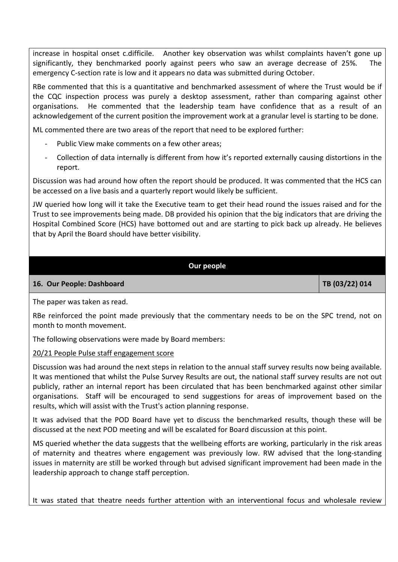increase in hospital onset c.difficile. Another key observation was whilst complaints haven't gone up significantly, they benchmarked poorly against peers who saw an average decrease of 25%. The emergency C-section rate is low and it appears no data was submitted during October.

RBe commented that this is a quantitative and benchmarked assessment of where the Trust would be if the CQC inspection process was purely a desktop assessment, rather than comparing against other organisations. He commented that the leadership team have confidence that as a result of an acknowledgement of the current position the improvement work at a granular level is starting to be done.

ML commented there are two areas of the report that need to be explored further:

- Public View make comments on a few other areas;
- Collection of data internally is different from how it's reported externally causing distortions in the report.

Discussion was had around how often the report should be produced. It was commented that the HCS can be accessed on a live basis and a quarterly report would likely be sufficient.

JW queried how long will it take the Executive team to get their head round the issues raised and for the Trust to see improvements being made. DB provided his opinion that the big indicators that are driving the Hospital Combined Score (HCS) have bottomed out and are starting to pick back up already. He believes that by April the Board should have better visibility.

# **Our people**

### 16. Our People: Dashboard **TB (03/22) 014**

The paper was taken as read.

RBe reinforced the point made previously that the commentary needs to be on the SPC trend, not on month to month movement.

The following observations were made by Board members:

#### 20/21 People Pulse staff engagement score

Discussion was had around the next steps in relation to the annual staff survey results now being available. It was mentioned that whilst the Pulse Survey Results are out, the national staff survey results are not out publicly, rather an internal report has been circulated that has been benchmarked against other similar organisations. Staff will be encouraged to send suggestions for areas of improvement based on the results, which will assist with the Trust's action planning response.

It was advised that the POD Board have yet to discuss the benchmarked results, though these will be discussed at the next POD meeting and will be escalated for Board discussion at this point.

MS queried whether the data suggests that the wellbeing efforts are working, particularly in the risk areas of maternity and theatres where engagement was previously low. RW advised that the long-standing issues in maternity are still be worked through but advised significant improvement had been made in the leadership approach to change staff perception.

It was stated that theatre needs further attention with an interventional focus and wholesale review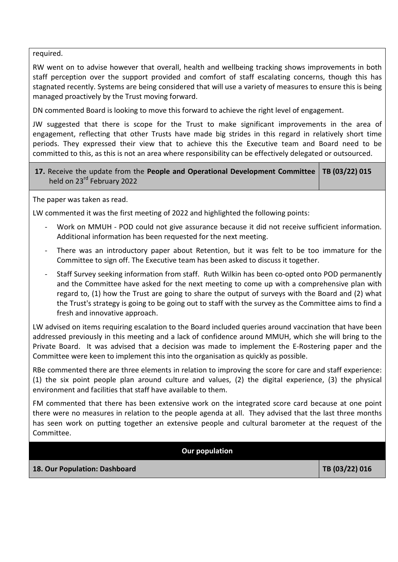required.

RW went on to advise however that overall, health and wellbeing tracking shows improvements in both staff perception over the support provided and comfort of staff escalating concerns, though this has stagnated recently. Systems are being considered that will use a variety of measures to ensure this is being managed proactively by the Trust moving forward.

DN commented Board is looking to move this forward to achieve the right level of engagement.

JW suggested that there is scope for the Trust to make significant improvements in the area of engagement, reflecting that other Trusts have made big strides in this regard in relatively short time periods. They expressed their view that to achieve this the Executive team and Board need to be committed to this, as this is not an area where responsibility can be effectively delegated or outsourced.

# **17.** Receive the update from the **People and Operational Development Committee TB (03/22) 015**  held on 23<sup>rd</sup> February 2022

The paper was taken as read.

LW commented it was the first meeting of 2022 and highlighted the following points:

- Work on MMUH POD could not give assurance because it did not receive sufficient information. Additional information has been requested for the next meeting.
- There was an introductory paper about Retention, but it was felt to be too immature for the Committee to sign off. The Executive team has been asked to discuss it together.
- Staff Survey seeking information from staff. Ruth Wilkin has been co-opted onto POD permanently and the Committee have asked for the next meeting to come up with a comprehensive plan with regard to, (1) how the Trust are going to share the output of surveys with the Board and (2) what the Trust's strategy is going to be going out to staff with the survey as the Committee aims to find a fresh and innovative approach.

LW advised on items requiring escalation to the Board included queries around vaccination that have been addressed previously in this meeting and a lack of confidence around MMUH, which she will bring to the Private Board. It was advised that a decision was made to implement the E-Rostering paper and the Committee were keen to implement this into the organisation as quickly as possible.

RBe commented there are three elements in relation to improving the score for care and staff experience: (1) the six point people plan around culture and values, (2) the digital experience, (3) the physical environment and facilities that staff have available to them.

FM commented that there has been extensive work on the integrated score card because at one point there were no measures in relation to the people agenda at all. They advised that the last three months has seen work on putting together an extensive people and cultural barometer at the request of the Committee.

**Our population** 

**18. Our Population: Dashboard TB (03/22) 016**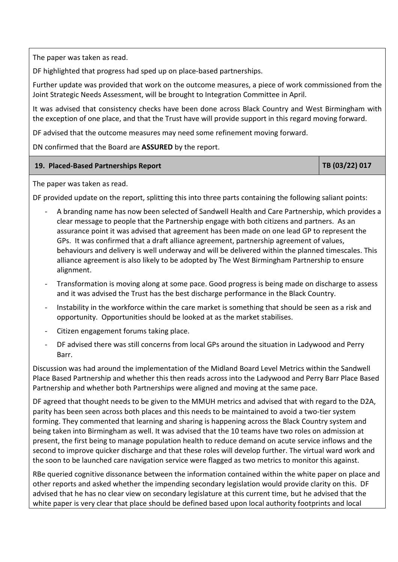The paper was taken as read.

DF highlighted that progress had sped up on place-based partnerships.

Further update was provided that work on the outcome measures, a piece of work commissioned from the Joint Strategic Needs Assessment, will be brought to Integration Committee in April.

It was advised that consistency checks have been done across Black Country and West Birmingham with the exception of one place, and that the Trust have will provide support in this regard moving forward.

DF advised that the outcome measures may need some refinement moving forward.

DN confirmed that the Board are **ASSURED** by the report.

# 19. Placed-Based Partnerships Report **TB** (03/22) 017

The paper was taken as read.

DF provided update on the report, splitting this into three parts containing the following saliant points:

- A branding name has now been selected of Sandwell Health and Care Partnership, which provides a clear message to people that the Partnership engage with both citizens and partners. As an assurance point it was advised that agreement has been made on one lead GP to represent the GPs. It was confirmed that a draft alliance agreement, partnership agreement of values, behaviours and delivery is well underway and will be delivered within the planned timescales. This alliance agreement is also likely to be adopted by The West Birmingham Partnership to ensure alignment.
- Transformation is moving along at some pace. Good progress is being made on discharge to assess and it was advised the Trust has the best discharge performance in the Black Country.
- Instability in the workforce within the care market is something that should be seen as a risk and opportunity. Opportunities should be looked at as the market stabilises.
- Citizen engagement forums taking place.
- DF advised there was still concerns from local GPs around the situation in Ladywood and Perry Barr.

Discussion was had around the implementation of the Midland Board Level Metrics within the Sandwell Place Based Partnership and whether this then reads across into the Ladywood and Perry Barr Place Based Partnership and whether both Partnerships were aligned and moving at the same pace.

DF agreed that thought needs to be given to the MMUH metrics and advised that with regard to the D2A, parity has been seen across both places and this needs to be maintained to avoid a two-tier system forming. They commented that learning and sharing is happening across the Black Country system and being taken into Birmingham as well. It was advised that the 10 teams have two roles on admission at present, the first being to manage population health to reduce demand on acute service inflows and the second to improve quicker discharge and that these roles will develop further. The virtual ward work and the soon to be launched care navigation service were flagged as two metrics to monitor this against.

RBe queried cognitive dissonance between the information contained within the white paper on place and other reports and asked whether the impending secondary legislation would provide clarity on this. DF advised that he has no clear view on secondary legislature at this current time, but he advised that the white paper is very clear that place should be defined based upon local authority footprints and local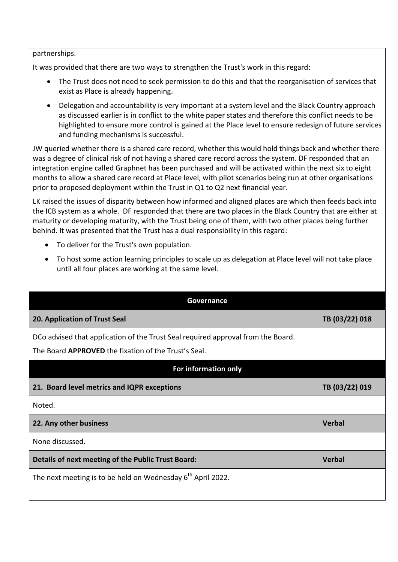#### partnerships.

It was provided that there are two ways to strengthen the Trust's work in this regard:

- The Trust does not need to seek permission to do this and that the reorganisation of services that exist as Place is already happening.
- Delegation and accountability is very important at a system level and the Black Country approach as discussed earlier is in conflict to the white paper states and therefore this conflict needs to be highlighted to ensure more control is gained at the Place level to ensure redesign of future services and funding mechanisms is successful.

JW queried whether there is a shared care record, whether this would hold things back and whether there was a degree of clinical risk of not having a shared care record across the system. DF responded that an integration engine called Graphnet has been purchased and will be activated within the next six to eight months to allow a shared care record at Place level, with pilot scenarios being run at other organisations prior to proposed deployment within the Trust in Q1 to Q2 next financial year.

LK raised the issues of disparity between how informed and aligned places are which then feeds back into the ICB system as a whole. DF responded that there are two places in the Black Country that are either at maturity or developing maturity, with the Trust being one of them, with two other places being further behind. It was presented that the Trust has a dual responsibility in this regard:

- To deliver for the Trust's own population.
- To host some action learning principles to scale up as delegation at Place level will not take place until all four places are working at the same level.

| Governance                                                                                                                                      |                |
|-------------------------------------------------------------------------------------------------------------------------------------------------|----------------|
| 20. Application of Trust Seal                                                                                                                   | TB (03/22) 018 |
| DCo advised that application of the Trust Seal required approval from the Board.<br>The Board <b>APPROVED</b> the fixation of the Trust's Seal. |                |
| For information only                                                                                                                            |                |
| 21. Board level metrics and IQPR exceptions                                                                                                     | TB (03/22) 019 |
| Noted.                                                                                                                                          |                |
| 22. Any other business                                                                                                                          | <b>Verbal</b>  |
| None discussed.                                                                                                                                 |                |
| Details of next meeting of the Public Trust Board:                                                                                              | <b>Verbal</b>  |
| The next meeting is to be held on Wednesday 6 <sup>th</sup> April 2022.                                                                         |                |